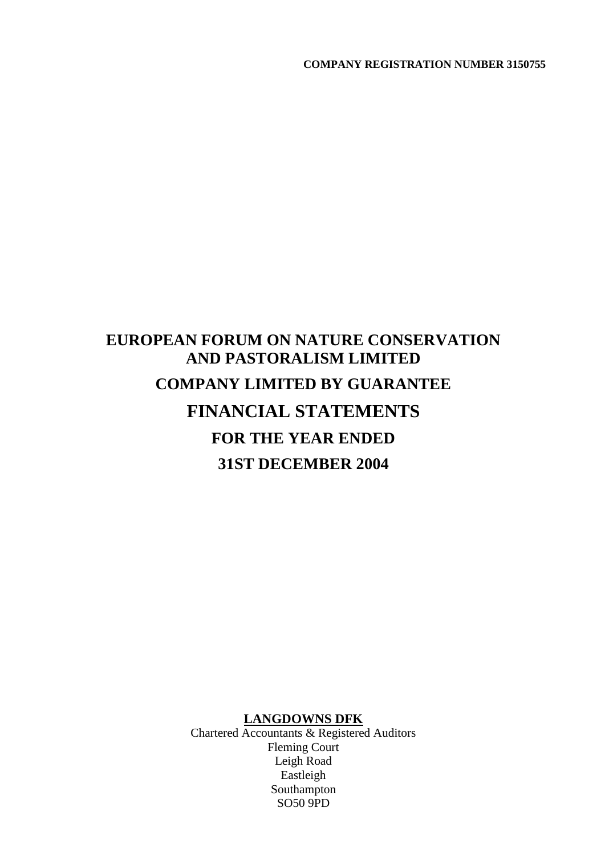# **EUROPEAN FORUM ON NATURE CONSERVATION AND PASTORALISM LIMITED COMPANY LIMITED BY GUARANTEE FINANCIAL STATEMENTS FOR THE YEAR ENDED 31ST DECEMBER 2004**

### **LANGDOWNS DFK**

Chartered Accountants & Registered Auditors Fleming Court Leigh Road Eastleigh Southampton SO50 9PD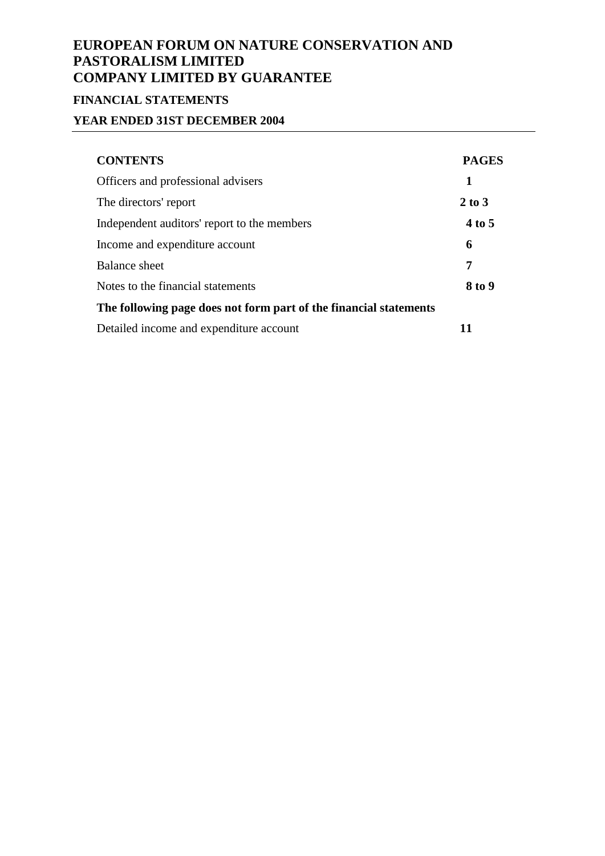# **FINANCIAL STATEMENTS**

# **YEAR ENDED 31ST DECEMBER 2004**

| <b>CONTENTS</b>                                                   | <b>PAGES</b> |
|-------------------------------------------------------------------|--------------|
| Officers and professional advisers                                | 1            |
| The directors' report                                             | $2$ to $3$   |
| Independent auditors' report to the members                       | 4 to 5       |
| Income and expenditure account                                    | 6            |
| <b>Balance sheet</b>                                              | 7            |
| Notes to the financial statements                                 | 8 to 9       |
| The following page does not form part of the financial statements |              |
| Detailed income and expenditure account                           | 11           |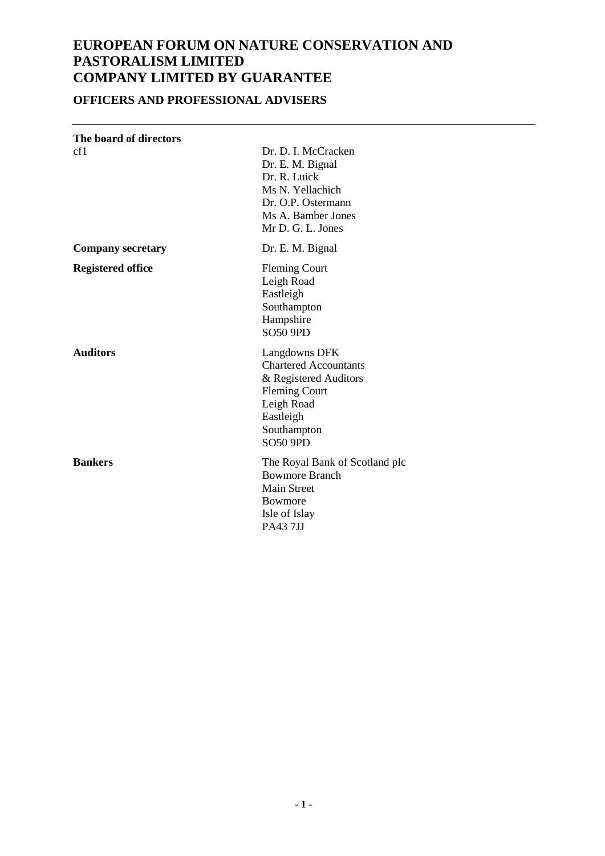# **OFFICERS AND PROFESSIONAL ADVISERS**

| The board of directors   |                                                                                                                                                             |
|--------------------------|-------------------------------------------------------------------------------------------------------------------------------------------------------------|
| cf1                      | Dr. D. I. McCracken<br>Dr. E. M. Bignal<br>Dr. R. Luick<br>Ms N. Yellachich<br>Dr. O.P. Ostermann<br>Ms A. Bamber Jones<br>Mr D. G. L. Jones                |
| <b>Company secretary</b> | Dr. E. M. Bignal                                                                                                                                            |
| <b>Registered office</b> | <b>Fleming Court</b><br>Leigh Road<br>Eastleigh<br>Southampton<br>Hampshire<br><b>SO50 9PD</b>                                                              |
| <b>Auditors</b>          | Langdowns DFK<br><b>Chartered Accountants</b><br>& Registered Auditors<br><b>Fleming Court</b><br>Leigh Road<br>Eastleigh<br>Southampton<br><b>SO50 9PD</b> |
| <b>Bankers</b>           | The Royal Bank of Scotland plc<br><b>Bowmore Branch</b><br><b>Main Street</b><br>Bowmore<br>Isle of Islay<br><b>PA437JJ</b>                                 |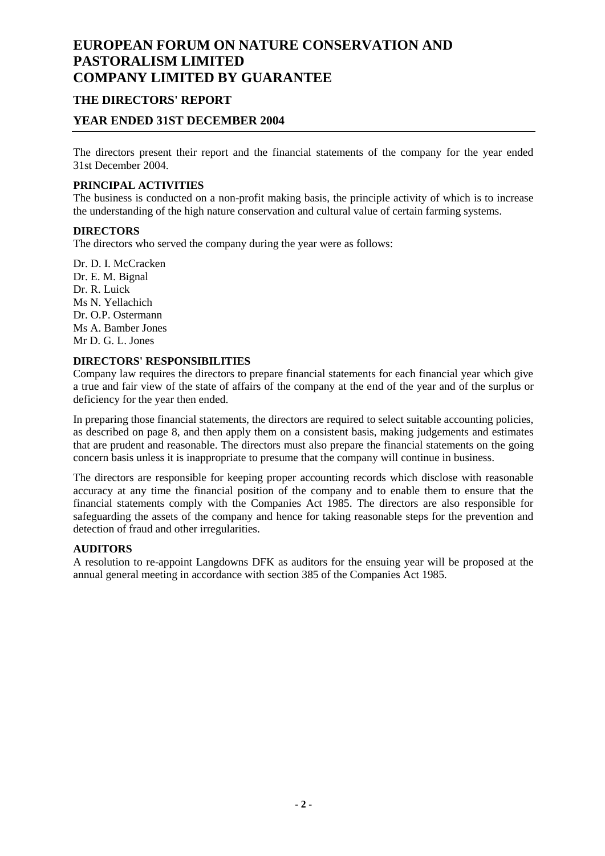### **THE DIRECTORS' REPORT**

### **YEAR ENDED 31ST DECEMBER 2004**

The directors present their report and the financial statements of the company for the year ended 31st December 2004.

### **PRINCIPAL ACTIVITIES**

The business is conducted on a non-profit making basis, the principle activity of which is to increase the understanding of the high nature conservation and cultural value of certain farming systems.

#### **DIRECTORS**

The directors who served the company during the year were as follows:

Dr. D. I. McCracken Dr. E. M. Bignal Dr. R. Luick Ms N. Yellachich Dr. O.P. Ostermann Ms A. Bamber Jones Mr D. G. L. Jones

#### **DIRECTORS' RESPONSIBILITIES**

Company law requires the directors to prepare financial statements for each financial year which give a true and fair view of the state of affairs of the company at the end of the year and of the surplus or deficiency for the year then ended.

In preparing those financial statements, the directors are required to select suitable accounting policies, as described on page 8, and then apply them on a consistent basis, making judgements and estimates that are prudent and reasonable. The directors must also prepare the financial statements on the going concern basis unless it is inappropriate to presume that the company will continue in business.

The directors are responsible for keeping proper accounting records which disclose with reasonable accuracy at any time the financial position of the company and to enable them to ensure that the financial statements comply with the Companies Act 1985. The directors are also responsible for safeguarding the assets of the company and hence for taking reasonable steps for the prevention and detection of fraud and other irregularities.

#### **AUDITORS**

A resolution to re-appoint Langdowns DFK as auditors for the ensuing year will be proposed at the annual general meeting in accordance with section 385 of the Companies Act 1985.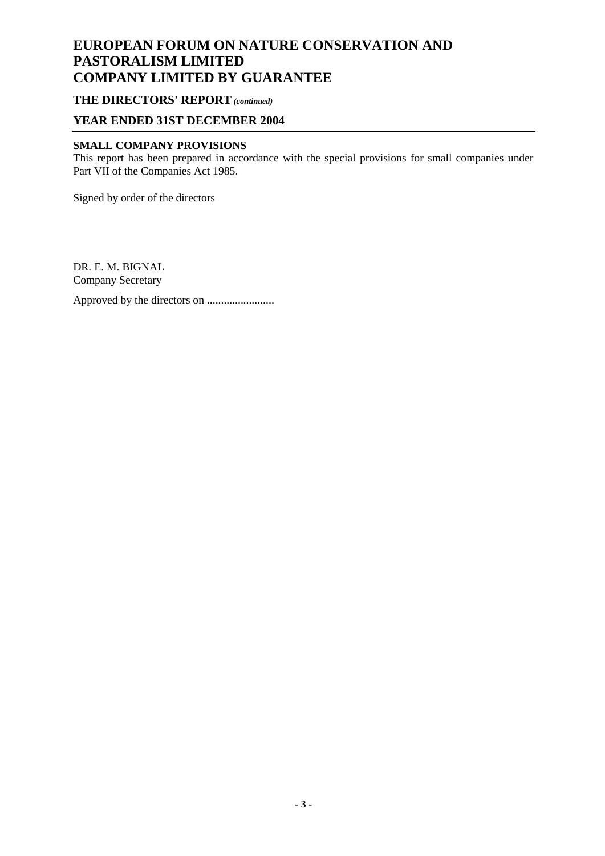### **THE DIRECTORS' REPORT** *(continued)*

### **YEAR ENDED 31ST DECEMBER 2004**

#### **SMALL COMPANY PROVISIONS**

This report has been prepared in accordance with the special provisions for small companies under Part VII of the Companies Act 1985.

Signed by order of the directors

DR. E. M. BIGNAL Company Secretary Approved by the directors on ........................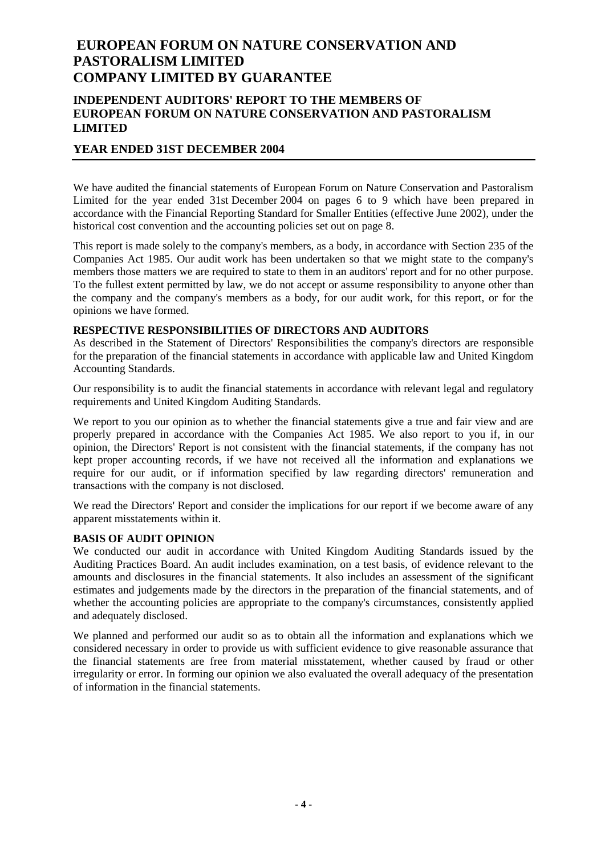### **INDEPENDENT AUDITORS' REPORT TO THE MEMBERS OF EUROPEAN FORUM ON NATURE CONSERVATION AND PASTORALISM LIMITED**

### **YEAR ENDED 31ST DECEMBER 2004**

We have audited the financial statements of European Forum on Nature Conservation and Pastoralism Limited for the year ended 31st December 2004 on pages 6 to 9 which have been prepared in accordance with the Financial Reporting Standard for Smaller Entities (effective June 2002), under the historical cost convention and the accounting policies set out on page 8.

This report is made solely to the company's members, as a body, in accordance with Section 235 of the Companies Act 1985. Our audit work has been undertaken so that we might state to the company's members those matters we are required to state to them in an auditors' report and for no other purpose. To the fullest extent permitted by law, we do not accept or assume responsibility to anyone other than the company and the company's members as a body, for our audit work, for this report, or for the opinions we have formed.

#### **RESPECTIVE RESPONSIBILITIES OF DIRECTORS AND AUDITORS**

As described in the Statement of Directors' Responsibilities the company's directors are responsible for the preparation of the financial statements in accordance with applicable law and United Kingdom Accounting Standards.

Our responsibility is to audit the financial statements in accordance with relevant legal and regulatory requirements and United Kingdom Auditing Standards.

We report to you our opinion as to whether the financial statements give a true and fair view and are properly prepared in accordance with the Companies Act 1985. We also report to you if, in our opinion, the Directors' Report is not consistent with the financial statements, if the company has not kept proper accounting records, if we have not received all the information and explanations we require for our audit, or if information specified by law regarding directors' remuneration and transactions with the company is not disclosed.

We read the Directors' Report and consider the implications for our report if we become aware of any apparent misstatements within it.

#### **BASIS OF AUDIT OPINION**

We conducted our audit in accordance with United Kingdom Auditing Standards issued by the Auditing Practices Board. An audit includes examination, on a test basis, of evidence relevant to the amounts and disclosures in the financial statements. It also includes an assessment of the significant estimates and judgements made by the directors in the preparation of the financial statements, and of whether the accounting policies are appropriate to the company's circumstances, consistently applied and adequately disclosed.

We planned and performed our audit so as to obtain all the information and explanations which we considered necessary in order to provide us with sufficient evidence to give reasonable assurance that the financial statements are free from material misstatement, whether caused by fraud or other irregularity or error. In forming our opinion we also evaluated the overall adequacy of the presentation of information in the financial statements.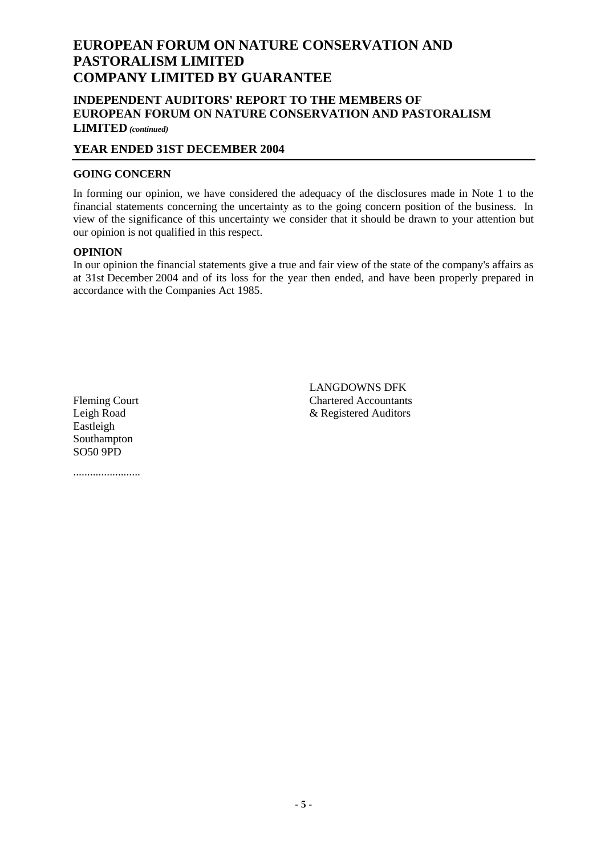### **INDEPENDENT AUDITORS' REPORT TO THE MEMBERS OF EUROPEAN FORUM ON NATURE CONSERVATION AND PASTORALISM LIMITED** *(continued)*

### **YEAR ENDED 31ST DECEMBER 2004**

### **GOING CONCERN**

In forming our opinion, we have considered the adequacy of the disclosures made in Note 1 to the financial statements concerning the uncertainty as to the going concern position of the business. In view of the significance of this uncertainty we consider that it should be drawn to your attention but our opinion is not qualified in this respect.

#### **OPINION**

In our opinion the financial statements give a true and fair view of the state of the company's affairs as at 31st December 2004 and of its loss for the year then ended, and have been properly prepared in accordance with the Companies Act 1985.

Eastleigh Southampton SO50 9PD

........................

LANGDOWNS DFK Fleming Court Chartered Accountants Leigh Road & Registered Auditors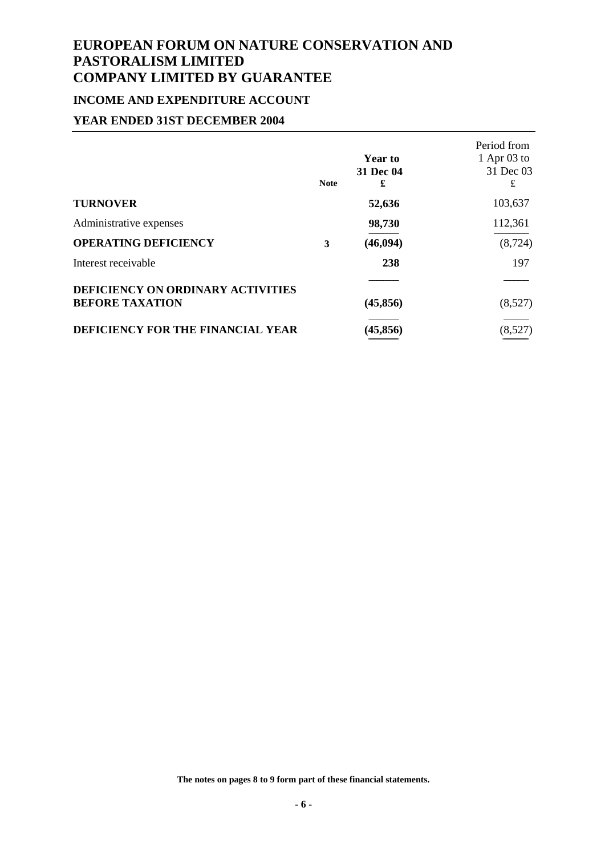# **INCOME AND EXPENDITURE ACCOUNT**

### **YEAR ENDED 31ST DECEMBER 2004**

|                                                             | <b>Note</b> | <b>Year to</b><br>31 Dec 04<br>£ | Period from<br>1 Apr $03$ to<br>31 Dec 03<br>£ |
|-------------------------------------------------------------|-------------|----------------------------------|------------------------------------------------|
| <b>TURNOVER</b>                                             |             | 52,636                           | 103,637                                        |
| Administrative expenses                                     |             | 98,730                           | 112,361                                        |
| <b>OPERATING DEFICIENCY</b>                                 | 3           | (46, 094)                        | (8, 724)                                       |
| Interest receivable                                         |             | 238                              | 197                                            |
| DEFICIENCY ON ORDINARY ACTIVITIES<br><b>BEFORE TAXATION</b> |             | (45, 856)                        | (8,527)                                        |
| DEFICIENCY FOR THE FINANCIAL YEAR                           |             | (45, 856)                        | (8,527)                                        |

**The notes on pages 8 to 9 form part of these financial statements.**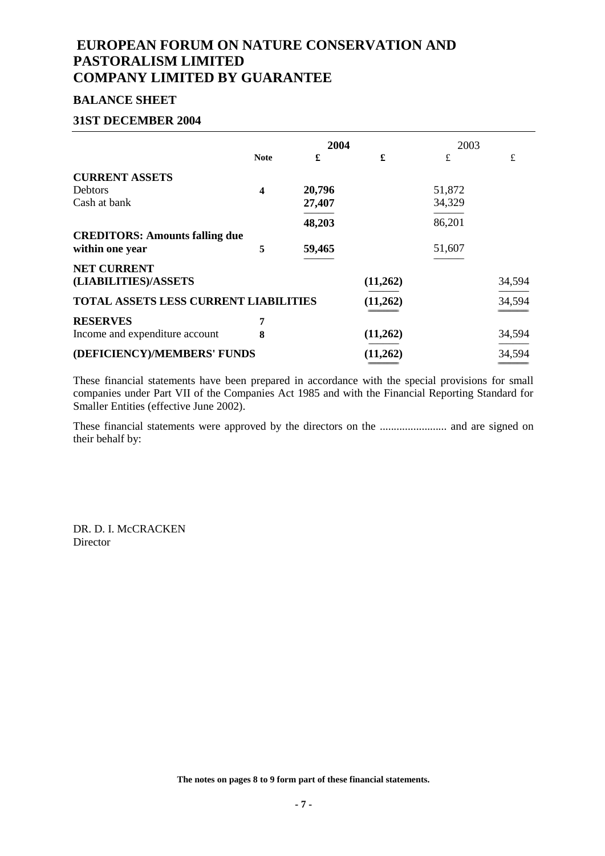### **BALANCE SHEET**

#### **31ST DECEMBER 2004**

|                                                          | 2004             |        |          | 2003   |           |
|----------------------------------------------------------|------------------|--------|----------|--------|-----------|
|                                                          | <b>Note</b>      | £      | £        | £      | $\pounds$ |
| <b>CURRENT ASSETS</b>                                    |                  |        |          |        |           |
| <b>Debtors</b>                                           | $\boldsymbol{4}$ | 20,796 |          | 51,872 |           |
| Cash at bank                                             |                  | 27,407 |          | 34,329 |           |
|                                                          |                  | 48,203 |          | 86,201 |           |
| <b>CREDITORS: Amounts falling due</b><br>within one year | 5                | 59,465 |          | 51,607 |           |
| <b>NET CURRENT</b><br>(LIABILITIES)/ASSETS               |                  |        | (11,262) |        | 34,594    |
| <b>TOTAL ASSETS LESS CURRENT LIABILITIES</b>             |                  |        | (11,262) |        | 34,594    |
| <b>RESERVES</b>                                          | 7                |        |          |        |           |
| Income and expenditure account                           | 8                |        | (11,262) |        | 34,594    |
| (DEFICIENCY)/MEMBERS' FUNDS                              |                  |        | (11,262) |        | 34,594    |

These financial statements have been prepared in accordance with the special provisions for small companies under Part VII of the Companies Act 1985 and with the Financial Reporting Standard for Smaller Entities (effective June 2002).

These financial statements were approved by the directors on the ........................ and are signed on their behalf by:

DR. D. I. McCRACKEN Director

**The notes on pages 8 to 9 form part of these financial statements.**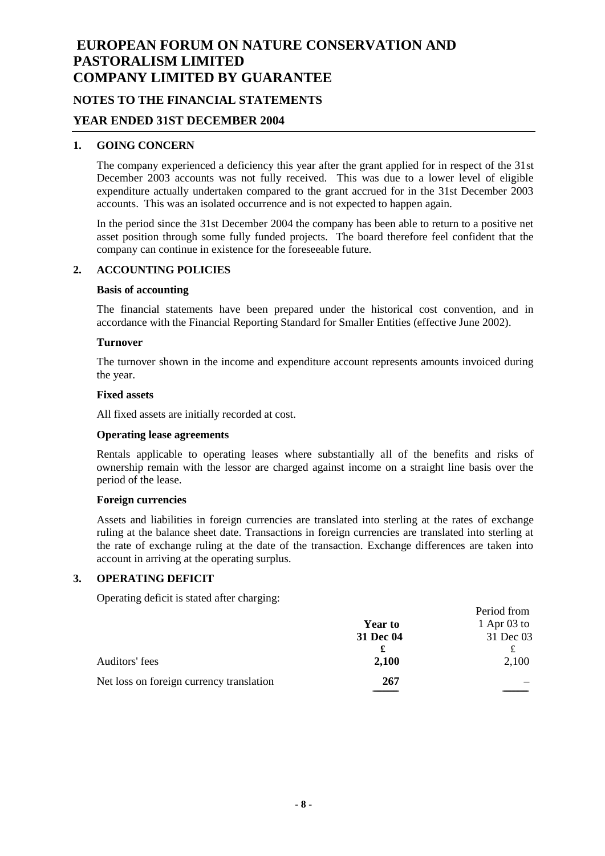### **NOTES TO THE FINANCIAL STATEMENTS**

#### **YEAR ENDED 31ST DECEMBER 2004**

#### **1. GOING CONCERN**

The company experienced a deficiency this year after the grant applied for in respect of the 31st December 2003 accounts was not fully received. This was due to a lower level of eligible expenditure actually undertaken compared to the grant accrued for in the 31st December 2003 accounts. This was an isolated occurrence and is not expected to happen again.

In the period since the 31st December 2004 the company has been able to return to a positive net asset position through some fully funded projects. The board therefore feel confident that the company can continue in existence for the foreseeable future.

#### **2. ACCOUNTING POLICIES**

#### **Basis of accounting**

The financial statements have been prepared under the historical cost convention, and in accordance with the Financial Reporting Standard for Smaller Entities (effective June 2002).

#### **Turnover**

The turnover shown in the income and expenditure account represents amounts invoiced during the year.

#### **Fixed assets**

All fixed assets are initially recorded at cost.

#### **Operating lease agreements**

Rentals applicable to operating leases where substantially all of the benefits and risks of ownership remain with the lessor are charged against income on a straight line basis over the period of the lease.

#### **Foreign currencies**

Assets and liabilities in foreign currencies are translated into sterling at the rates of exchange ruling at the balance sheet date. Transactions in foreign currencies are translated into sterling at the rate of exchange ruling at the date of the transaction. Exchange differences are taken into account in arriving at the operating surplus.

#### **3. OPERATING DEFICIT**

Operating deficit is stated after charging:

| ິ                                        |                | Period from   |
|------------------------------------------|----------------|---------------|
|                                          | <b>Year to</b> | 1 Apr $03$ to |
|                                          | 31 Dec 04      | 31 Dec 03     |
|                                          |                |               |
| Auditors' fees                           | 2,100          | 2,100         |
| Net loss on foreign currency translation | 267            |               |
|                                          |                |               |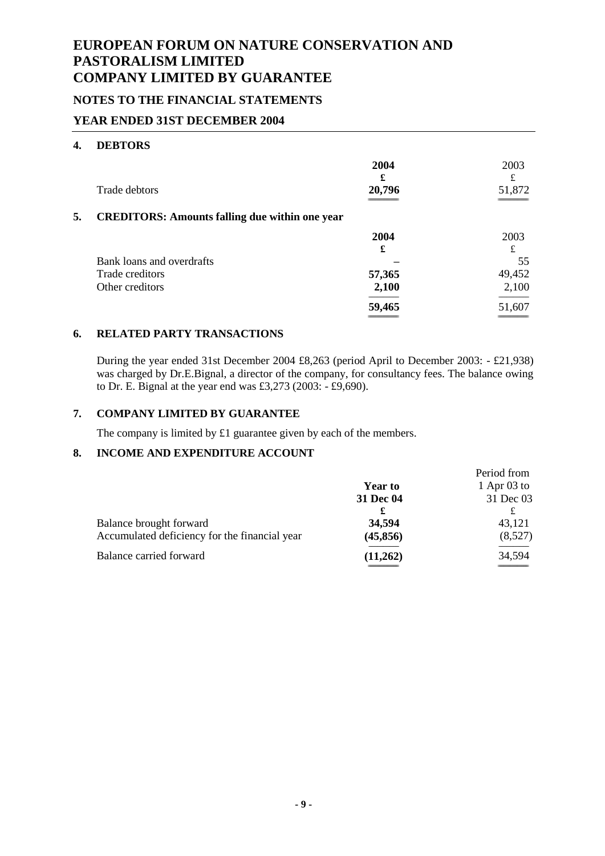### **NOTES TO THE FINANCIAL STATEMENTS**

### **YEAR ENDED 31ST DECEMBER 2004**

#### **4. DEBTORS**

|    | Trade debtors                                         | 2004<br>£<br>20,796 | 2003<br>£<br>51,872 |
|----|-------------------------------------------------------|---------------------|---------------------|
| 5. | <b>CREDITORS: Amounts falling due within one year</b> |                     |                     |
|    |                                                       | 2004                | 2003                |
|    |                                                       | £                   | £                   |
|    | Bank loans and overdrafts                             |                     | 55                  |
|    | Trade creditors                                       | 57,365              | 49,452              |
|    | Other creditors                                       | 2,100               | 2,100               |
|    |                                                       | 59,465              | 51,607              |
|    |                                                       |                     |                     |

### **6. RELATED PARTY TRANSACTIONS**

During the year ended 31st December 2004 £8,263 (period April to December 2003: - £21,938) was charged by Dr.E.Bignal, a director of the company, for consultancy fees. The balance owing to Dr. E. Bignal at the year end was £3,273 (2003: - £9,690).

### **7. COMPANY LIMITED BY GUARANTEE**

The company is limited by £1 guarantee given by each of the members.

### **8. INCOME AND EXPENDITURE ACCOUNT**

|                                               |                | Period from   |
|-----------------------------------------------|----------------|---------------|
|                                               | <b>Year to</b> | 1 Apr $03$ to |
|                                               | 31 Dec 04      | 31 Dec 03     |
|                                               | £              |               |
| Balance brought forward                       | 34,594         | 43,121        |
| Accumulated deficiency for the financial year | (45, 856)      | (8,527)       |
| Balance carried forward                       | (11,262)       | 34,594        |
|                                               |                |               |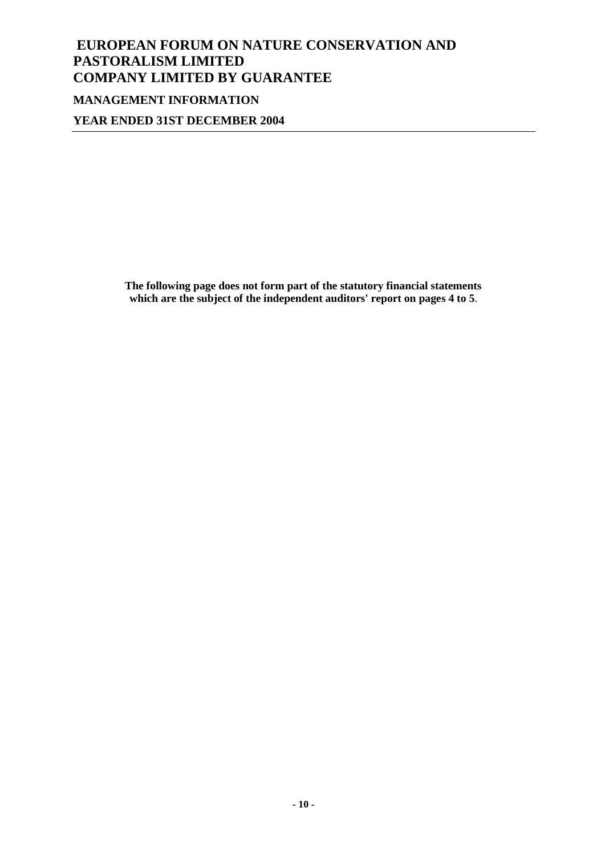# **EUROPEAN FORUM ON NATURE CONSERVATION AND PASTORALISM LIMITED COMPANY LIMITED BY GUARANTEE MANAGEMENT INFORMATION**

**YEAR ENDED 31ST DECEMBER 2004**

**The following page does not form part of the statutory financial statements which are the subject of the independent auditors' report on pages 4 to 5**.